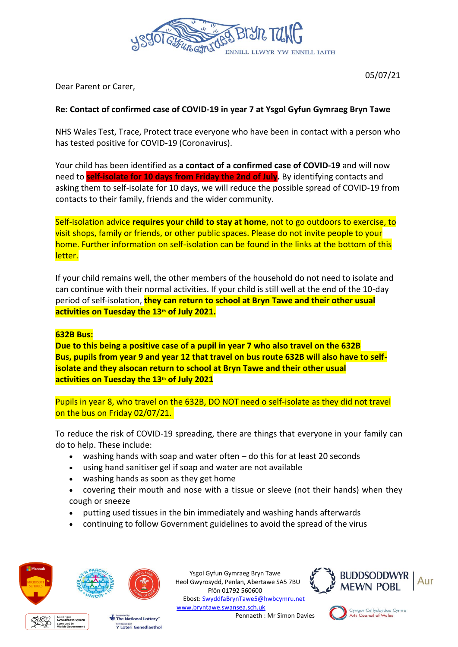

Dear Parent or Carer,

# **Re: Contact of confirmed case of COVID-19 in year 7 at Ysgol Gyfun Gymraeg Bryn Tawe**

NHS Wales Test, Trace, Protect trace everyone who have been in contact with a person who has tested positive for COVID-19 (Coronavirus).

Your child has been identified as **a contact of a confirmed case of COVID-19** and will now need to **self-isolate for 10 days from Friday the 2nd of July.** By identifying contacts and asking them to self-isolate for 10 days, we will reduce the possible spread of COVID-19 from contacts to their family, friends and the wider community.

Self-isolation advice **requires your child to stay at home**, not to go outdoors to exercise, to visit shops, family or friends, or other public spaces. Please do not invite people to your home. Further information on self-isolation can be found in the links at the bottom of this letter.

If your child remains well, the other members of the household do not need to isolate and can continue with their normal activities. If your child is still well at the end of the 10-day period of self-isolation, **they can return to school at Bryn Tawe and their other usual activities on Tuesday the 13th of July 2021.**

#### **632B Bus:**

**Due to this being a positive case of a pupil in year 7 who also travel on the 632B Bus, pupils from year 9 and year 12 that travel on bus route 632B will also have to selfisolate and they alsocan return to school at Bryn Tawe and their other usual activities on Tuesday the 13th of July 2021**

Pupils in year 8, who travel on the 632B, DO NOT need o self-isolate as they did not travel on the bus on Friday 02/07/21.

To reduce the risk of COVID-19 spreading, there are things that everyone in your family can do to help. These include:

- washing hands with soap and water often do this for at least 20 seconds
- using hand sanitiser gel if soap and water are not available
- washing hands as soon as they get home
- covering their mouth and nose with a tissue or sleeve (not their hands) when they cough or sneeze
- putting used tissues in the bin immediately and washing hands afterwards
- continuing to follow Government guidelines to avoid the spread of the virus





Cyngor Celfyddydau Cymru<br>Arts Council of Wales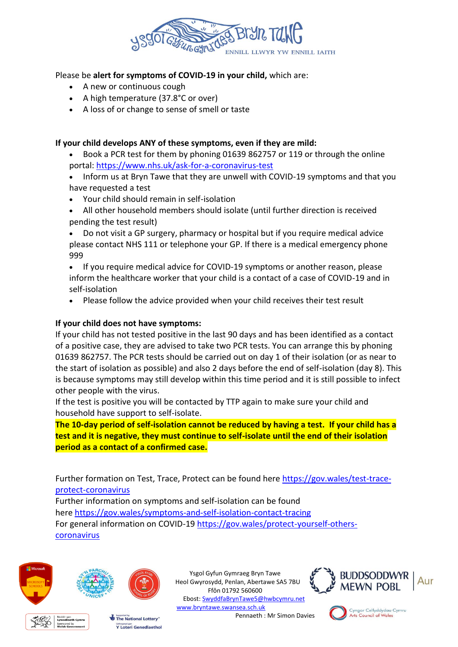

### Please be **alert for symptoms of COVID-19 in your child,** which are:

- A new or continuous cough
- A high temperature (37.8°C or over)
- A loss of or change to sense of smell or taste

# **If your child develops ANY of these symptoms, even if they are mild:**

- Book a PCR test for them by phoning 01639 862757 or 119 or through the online portal: <https://www.nhs.uk/ask-for-a-coronavirus-test>
- Inform us at Bryn Tawe that they are unwell with COVID-19 symptoms and that you have requested a test
- Your child should remain in self-isolation
- All other household members should isolate (until further direction is received pending the test result)
- Do not visit a GP surgery, pharmacy or hospital but if you require medical advice please contact NHS 111 or telephone your GP. If there is a medical emergency phone 999
- If you require medical advice for COVID-19 symptoms or another reason, please inform the healthcare worker that your child is a contact of a case of COVID-19 and in self-isolation
- Please follow the advice provided when your child receives their test result

# **If your child does not have symptoms:**

If your child has not tested positive in the last 90 days and has been identified as a contact of a positive case, they are advised to take two PCR tests. You can arrange this by phoning 01639 862757. The PCR tests should be carried out on day 1 of their isolation (or as near to the start of isolation as possible) and also 2 days before the end of self-isolation (day 8). This is because symptoms may still develop within this time period and it is still possible to infect other people with the virus.

If the test is positive you will be contacted by TTP again to make sure your child and household have support to self-isolate.

**The 10-day period of self-isolation cannot be reduced by having a test. If your child has a test and it is negative, they must continue to self-isolate until the end of their isolation period as a contact of a confirmed case.**

Further formation on Test, Trace, Protect can be found here [https://gov.wales/test-trace](https://gov.wales/test-trace-protect-coronavirus)[protect-coronavirus](https://gov.wales/test-trace-protect-coronavirus)

Further information on symptoms and self-isolation can be found here <https://gov.wales/symptoms-and-self-isolation-contact-tracing> For general information on COVID-19 [https://gov.wales/protect-yourself-others](https://gov.wales/protect-yourself-others-coronavirus)[coronavirus](https://gov.wales/protect-yourself-others-coronavirus) 



Ysgol Gyfun Gymraeg Bryn Tawe Heol Gwyrosydd, Penlan, Abertawe SA5 7BU Ffôn 01792 560600 Ebost: [SwyddfaBrynTawe5@hwbcymru.net](mailto:SwyddfaBrynTawe5@hwbcymru.net) [www.bryntawe.swansea.sch.uk](http://www.bryntawe.swansea.sch.uk/) Pennaeth : Mr Simon Davies



Cyngor Celfyddydau Cymru<br>Arts Council of Wales